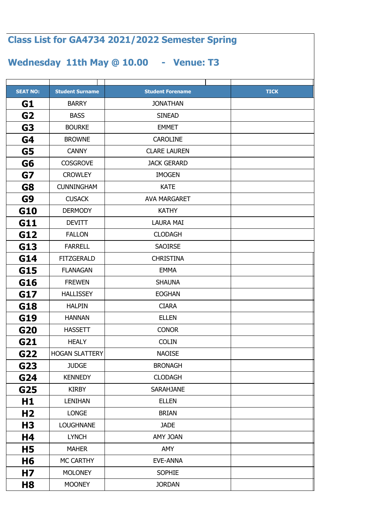## **SEAT NO: TICK Student Surname Student Forename G1 G2 G3 G4 G5 G6 G7 G8 G9 G10 G11 G12 G13 G14 G15 G16 G17 G18 G19 G20 G21 G22 G23 G24 G25 H1 H2 H3 H4 H5 H6 H7 H8 Class List for GA4734 2021/2022 Semester Spring Wednesday 11th May @ 10.00 - Venue: T3** BOURKE | EMMET BROWNE | CAROLINE BARRY | JONATHAN BASS | SINEAD CUSACK | AVA MARGARET DERMODY | KATHY CROWLEY IMOGEN CUNNINGHAM NEWSLESDAM KATE CANNY CLARE LAUREN COSGROVE JACK GERARD FLANAGAN | EMMA FREWEN | SHAUNA FARRELL SAOIRSE FITZGERALD | CHRISTINA DEVITT | LAURA MAI FALLON | CLODAGH HEALY | COLIN HOGAN SLATTERY NAOISE HANNAN ELLEN HASSETT CONOR HALLISSEY | EOGHAN HALPIN CIARA LONGE | BRIAN LOUGHNANE JADE KIRBY | SARAHJANE LENIHAN ELLEN JUDGE | BRONAGH KENNEDY CLODAGH MOONEY JORDAN MC CARTHY | EVE-ANNA MOLONEY | SOPHIE LYNCH **AMY JOAN** MAHER | AMY